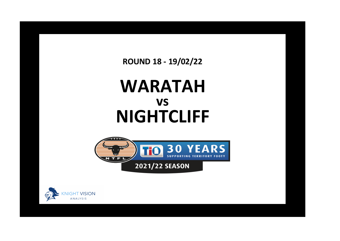**ROUND 18 - 19/02/22**

## **WARATAH NIGHTCLIFF vs**



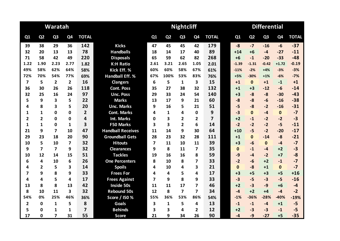|                |                         | Waratah                 |                         |                |                          |                |                | <b>Nightcliff</b> |                         |                | <b>Differential</b> |              |                |                |                |              |  |
|----------------|-------------------------|-------------------------|-------------------------|----------------|--------------------------|----------------|----------------|-------------------|-------------------------|----------------|---------------------|--------------|----------------|----------------|----------------|--------------|--|
| Q1             | Q <sub>2</sub>          | Q <sub>3</sub>          | Q4                      | <b>TOTAL</b>   |                          | Q1             | Q <sub>2</sub> | Q <sub>3</sub>    | Q <sub>4</sub>          | <b>TOTAL</b>   |                     | Q1           | Q <sub>2</sub> | Q <sub>3</sub> | Q <sub>4</sub> | <b>TOTAL</b> |  |
| 39             | 38                      | 29                      | 36                      | 142            | <b>Kicks</b>             | 47             | 45             | 45                | 42                      | 179            |                     | $-8$         | $-7$           | $-16$          | $-6$           | $-37$        |  |
| 32             | 20                      | 13                      | 13                      | 78             | <b>Handballs</b>         | 18             | 14             | 17                | 40                      | 89             |                     | $+14$        | $+6$           | $-4$           | $-27$          | $-11$        |  |
| 71             | 58                      | 42                      | 49                      | 220            | <b>Disposals</b>         | 65             | 59             | 62                | 82                      | 268            |                     | $+6$         | $-1$           | $-20$          | $-33$          | $-48$        |  |
| 1.22           | 1.90                    | 2.23                    | 2.77                    | 1.82           | <b>K:H Ratio</b>         | 2.61           | 3.21           | 2.65              | 1.05                    | 2.01           |                     | $-1.39$      | $-1.31$        | $-0.42$        | $+1.72$        | $-0.19$      |  |
| 49%            | 58%                     | 62%                     | 64%                     | 58%            | Kick Eff. %              | 60%            | 60%            | 58%               | 67%                     | 61%            |                     | $-11%$       | $-2%$          | $+4%$          | $-3%$          | $-3%$        |  |
| 72%            | 70%                     | 54%                     | 77%                     | 69%            | <b>Handball Eff. %</b>   | 67%            | 100%           | 53%               | 83%                     | 76%            |                     | $+5%$        | $-30%$         | $+1%$          | $-6%$          | $-7%$        |  |
| $\overline{7}$ | 5                       | $\overline{2}$          | $\overline{2}$          | 16             | <b>Clangers</b>          | 6              | 5              | $\mathbf{1}$      | $\overline{\mathbf{3}}$ | 15             |                     | $+1$         | $\mathbf{0}$   | $+1$           | $-1$           | $+1$         |  |
| 36             | 30                      | 26                      | 26                      | 118            | <b>Cont. Poss</b>        | 35             | 27             | 38                | 32                      | 132            |                     | $+1$         | $+3$           | $-12$          | $-6$           | $-14$        |  |
| 32             | 25                      | 16                      | 24                      | 97             | <b>Unc. Poss</b>         | 29             | 33             | 24                | 54                      | 140            |                     | $+3$         | $-8$           | $-8$           | $-30$          | $-43$        |  |
| 5              | 9                       | 3                       | 5                       | 22             | <b>Marks</b>             | 13             | 17             | 9                 | 21                      | 60             |                     | $-8$         | $-8$           | $-6$           | $-16$          | $-38$        |  |
| 4              | 8                       | 3                       | 5                       | 20             | <b>Unc. Marks</b>        | 9              | 16             | 5                 | 21                      | 51             |                     | $-5$         | $-8$           | $-2$           | $-16$          | $-31$        |  |
| 1              | 1                       | $\mathbf{0}$            | $\mathbf{0}$            | $\overline{2}$ | <b>Cont. Marks</b>       | 4              | $\mathbf{1}$   | 4                 | 0                       | 9              |                     | $-3$         | $\mathbf{0}$   | $-4$           | $\mathbf{0}$   | $-7$         |  |
| $\mathbf{2}$   | $\overline{\mathbf{c}}$ | $\Omega$                | 0                       | 4              | Int. Marks               | O              | 3              | $\mathbf{2}$      | $\overline{2}$          | $\overline{7}$ |                     | $+2$         | $-1$           | $-2$           | $-2$           | $-3$         |  |
| 1              | $\mathbf{1}$            | $\mathbf 0$             | $\mathbf{1}$            | 3              | <b>F50 Marks</b>         | 3              | 3              | $\overline{2}$    | 6                       | 14             |                     | $-2$         | $-2$           | $-2$           | $-5$           | $-11$        |  |
| 21             | 9                       | $\overline{7}$          | 10                      | 47             | <b>Handball Receives</b> | 11             | 14             | 9                 | 30                      | 64             |                     | $+10$        | $-5$           | $-2$           | $-20$          | $-17$        |  |
| 29             | 23                      | 18                      | 20                      | 90             | <b>Groundball Gets</b>   | 28             | 23             | 32                | 28                      | 111            |                     | $+1$         | $\Omega$       | $-14$          | $-8$           | $-21$        |  |
| 10             | 5                       | 10                      | $\overline{7}$          | 32             | <b>Hitouts</b>           | $\overline{7}$ | 11             | 10                | 11                      | 39             |                     | $+3$         | $-6$           | $\mathbf{0}$   | $-4$           | $-7$         |  |
| 9              | $\overline{7}$          | $\overline{\mathbf{z}}$ | 9                       | 32             | <b>Clearances</b>        | 9              | 8              | 11                | $\overline{\mathbf{z}}$ | 35             |                     | $\mathbf{0}$ | $-1$           | $-4$           | $+2$           | $-3$         |  |
| 10             | 12                      | 14                      | 15                      | 51             | <b>Tackles</b>           | 19             | 16             | 16                | 8                       | 59             |                     | $-9$         | $-4$           | $-2$           | $+7$           | $-8$         |  |
| 6              | 4                       | 10                      | 6                       | 26             | <b>One Percenters</b>    | 8              | 10             | 8                 | $\overline{\mathbf{z}}$ | 33             |                     | $-2$         | -6             | $+2$           | $-1$           | $-7$         |  |
| 4              | $\overline{2}$          | 5                       | $\overline{\mathbf{3}}$ | 14             | <b>Spoils</b>            | 4              | 10             | 4                 | 3                       | 21             |                     | $\mathbf{0}$ | $-8$           | $+1$           | $\mathbf{0}$   | $-7$         |  |
| 7              | 9                       | 8                       | 9                       | 33             | <b>Frees For</b>         | 4              | 4              | 5                 | 4                       | 17             |                     | $+3$         | $+5$           | $+3$           | $+5$           | $+16$        |  |
| 4              | 4                       | 5                       | 4                       | 17             | <b>Frees Against</b>     | 7              | 9              | 8                 | 9                       | 33             |                     | $-3$         | $-5$           | $-3$           | $-5$           | $-16$        |  |
| 13             | 8                       | 8                       | 13                      | 42             | <b>Inside 50s</b>        | 11             | 11             | 17                | 7                       | 46             |                     | $+2$         | $-3$           | $-9$           | $+6$           | $-4$         |  |
| 8              | 10                      | 11                      | 3                       | 32             | <b>Rebound 50s</b>       | 12             | 8              | $\overline{ }$    | $\overline{7}$          | 34             |                     | $-4$         | $+2$           | $+4$           | $-4$           | $-2$         |  |
| 54%            | 0%                      | 25%                     | 46%                     | 36%            | Score / I50 %            | 55%            | 36%            | 53%               | 86%                     | 54%            |                     | $-1%$        | $-36%$         | $-28%$         | $-40%$         | $-19%$       |  |
| $\overline{2}$ | 0                       | $\mathbf{1}$            | 5                       | 8              | <b>Goals</b>             | 3              | $\mathbf{1}$   | 5                 | 4                       | 13             |                     | $-1$         | $-1$           | $-4$           | $+1$           | $-5$         |  |
| 5              | 0                       | $\mathbf{1}$            | 1                       | $\overline{7}$ | <b>Behinds</b>           | 3              | 3              | 4                 | $\overline{2}$          | 12             |                     | $+2$         | $-3$           | $-3$           | $-1$           | $-5$         |  |
| 17             | 0                       | $\overline{7}$          | 31                      | 55             | <b>Score</b>             | 21             | 9              | 34                | 26                      | 90             |                     | $-4$         | $-9$           | $-27$          | $+5$           | $-35$        |  |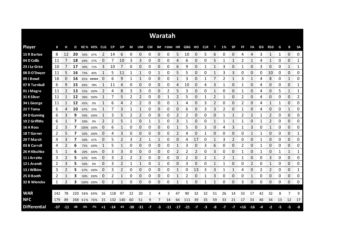|                     |       |          |     |           |             |               |           |     |       |                |      |                    | Waratah                  |       |       |          |      |                |      |           |                |       |            |                |          |                    |                        |
|---------------------|-------|----------|-----|-----------|-------------|---------------|-----------|-----|-------|----------------|------|--------------------|--------------------------|-------|-------|----------|------|----------------|------|-----------|----------------|-------|------------|----------------|----------|--------------------|------------------------|
| <b>Player</b>       | К     | н        | D   |           | KE% HE% CLG |               | <b>CP</b> | UP  | M     | UM             |      |                    | CM IM F50M HR GBG HO CLR |       |       |          |      | т              | 1%   | <b>SP</b> | <b>FF</b>      | FA    | <b>I50</b> | <b>R50</b>     | G        | В                  | <b>SA</b>              |
| 15 R Bartee         | 8     | 12       | 20  | 50%       | 67%         | 2             | 14        | 6   | 0     | 0              | 0    | 0                  | 0                        | 5     | 10    | 0        | 5    | 6              | 0    | 0         | 4              | 4     | 3          | 1              | 1        | 0                  | 0                      |
| 04 D Collis         | 11    |          | 18  | 64%       | 57%         | 0             |           | 10  | 3     | 3              | 0    | 0                  | 0                        | 4     | 6     | 0        | 0    | 5              |      | 1         | 2              |       | 4          | 1              | 0        | 0                  | 1                      |
| 23 J Le Grice       | 10    |          | 17  | 30%       | 71%         | 3             | 10        |     | 0     | 0              | 0    | 0                  | 0                        | 6     | 9     | 0        |      | 1              | 3    | 0         |                | 0     | 3          | 0              | 0        | 1                  | 1                      |
| 08 D O'Dwyer        | 11    | 5        | 16  | 73%       | 40%         |               | 5         | 11  | 1     | 1              | 0    | 1                  | 0                        | 5     | 5     | 0        | 0    | 1              | 3    | 3         | 0              | 0     | 0          | 10             | 0        | 0                  | 0                      |
| 09 J Bowd           | 16    | $\Omega$ | 16  |           | 81% #####   | $\Omega$      | 6         | 9   | 1     | 1              | 0    | 0                  | 0                        | 1     | 3     | 0        |      | 7              | 2    | 1         | 3              | 1     | 4          | 8              | 0        | 1                  | 0                      |
| 07 R Turnbull       | 6     | 9        | 15  | 83%       | 78%         |               | 11        | 4   | 0     | 0              | 0    | 0                  | 0                        | 4     | 10    | 0        | 4    | 3              | 1    | 0         | 1              | 0     | 4          | 0              | 0        | 0                  | 1                      |
| 01 J Magro          | 11    | 2        | 13  |           | 55% 100%    | 2             | 4         | 8   | 3     | 3              | 0    | 0                  | $\overline{2}$           | 5     | 3     | 0        | 0    | 1              | 0    | 0         |                | 0     | 4          | 0              | 5        | 1                  | 1                      |
| 31 K Silver         | 11    | 1        | 12  | 36%       | 100%        | 1             | 7         | 5   | 2     | 2              | 0    | 0                  | 1                        | 2     | 5     | 0        | 1    | 2              | 1    | 0         | 2              | 0     | 4          | 0              | 0        | 0                  | 2                      |
| 34 L George         | 11    | 1        | 12  | 45%       | 0%          | 1             | 6         | 4   | 2     | $\overline{2}$ | 0    | 0                  | 0                        | 1     | 4     | 0        | 3    | $\overline{2}$ | 0    | 0         | $\overline{2}$ | 0     | 4          | $\mathbf{1}$   | 1        | 0                  | 0                      |
| 22 T Toma           | 6     | 4        | 10  | 67%       | 25%         | 1             | 7         | 3   | 1     | 1              | 0    | 0                  | 0                        | 0     | 6     | 0        | 3    | 3              | 2    | 0         | 1              | 0     | 4          | 0              | 0        | 1                  | 0                      |
| 24 D Gunning        | 6     | 3        | 9   | 50%       | 100%        | 1             | 3         | 5   | 2     | 2              | 0    | 0                  | 0                        | 2     | 2     | 0        | 0    | 0              |      | 1         | 2              | 2     |            | $\overline{2}$ | 0        | 0                  | 0                      |
| 10 Z Griffiths      | 6     | 1        | 7   | 50%       | 0%          | $\mathcal{P}$ | 2         | 5   | 1     | 0              | 1    | 1                  | 0                        | 3     |       | 0        | 0    | 1              |      | 1         |                | 0     |            | 2              | 0        | 0                  | 0                      |
| 16 A Ross           | 2     | 5        | 7   |           | 100% 100%   | 0             | 6         |     | 0     | 0              | 0    | 0                  | 0                        | 1     | 5     | $\Omega$ | 3    | 0              | 4    | 3         |                | 3     | 0          | 1              | 0        | 0                  | 0                      |
| 18 T Garner         | 2     | 5        | 7   | 50%       | 100%        | 0             | 4         | 3   | 0     | 0              | 0    | 0                  | 0                        | 2     | Δ     | 0        |      | 0              | 0    | 0         | 0              |       |            | 0              | 0        | 0                  | 1<br>manan a           |
| 29 T Marsh          | 4     | 3        |     | 50%       | 67%         | 0             | 5         | 2   | 3     | 2              | 1    |                    | 0                        | 0     | 4     | 17       | 0    |                | 3    | 2         | 0              | 0     |            | 0<br>ana mana  | 0        | 0<br>ana ana amin' | 0<br>ana ana           |
| 03 B Carroll        | 4     |          | 6   | 75%       | 100%        |               | 5         |     | 0     | 0              | 0    | 0<br><b>TOO OO</b> | 0                        |       | 3     | 0        | 3    | 6              | O    | O         |                | 0     |            | 0              | 0<br>mmm | 0<br>ananana       | 0<br><b>Management</b> |
| 26 H Kitschke       | 5     | 1        | 6   | 20%       | 100%        | 0             | 3         | 3   | 0     | 0              | 0    | 0                  | 0                        | 2     | 2     | 2        | 0    | 3              | 0    | 0         |                | 0     | 1          | 0              | 1        | 1                  | 1<br>ana araw          |
| 11 J Arratta        | 3     | 2        | 5   | 67%       | 50%         | 0             | 3         |     |       | 2              | 0    | 0                  | 0                        | 0     |       | 0        |      |                |      |           |                | 0     | O          | 3              | 0        | 0                  | 0                      |
| 12 L Arandt         | 2     | 3        | 5   | 50%       | 0%          | 0             | 3         | 2   | 1     | 1              | 0    | 1                  | 0                        | 0     | 3     | 0        | 0    | 1              |      | 0         | 0              | 2     | 0          | 1              | 0        | 0                  | 0                      |
| 13 J Wilkins        | 3     | 2        | 5   |           | 67% 100%    | 0             | 3         | 2   | 0     | 0              | 0    | 0                  | 0                        | 1     | 0     | 13       | 3    | 3              |      | 1         | 4              | 0     | 2          | 2              | 0        | 0                  | 1                      |
| 25 D Booth          | 2     | 1        | 3   |           | 50% 100%    | 0             | 2         | 1   | 0     | 0              | 0    | 0                  | 0                        | 1     | 2     | 0        | 1    | 3              | 0    | 0         | 0              | 1     | 0          | 0              | 0        | 0                  | 0                      |
| 32 B Wiencke        | 1     | 2        | 3.  | 100% 100% |             | 0             | 2         | 1   | 0     | 0              | 0    | 0                  | 0                        | 1     | 1     | 0        | 1    | 1              | 0    | 0         | 3              | 0     | 0          | 0              | 0        | 0                  | 0                      |
|                     |       |          |     |           |             |               |           |     |       |                |      |                    |                          |       |       |          |      |                |      |           |                |       |            |                |          |                    |                        |
| <b>WAR</b>          | 142   | 78       | 220 | 58%       | 69%         | 16            | 118       | 97  | 22    | 20             | 2    | 4                  | 3                        | 47    | 90    | 32       | 32   | 51             | 26   | 14        | 33             | 17    | 42         | 32             | 8        | 7                  | 9                      |
| <b>NFC</b>          | 179   | 89       | 268 |           | 61% 76%     | 15            | 132       | 140 | 60    | 51             | 9    | 7                  | 14                       | 64    | 111   | 39       | 35   | 59             | 33   | 21        | 17             | 33    | 46         | 34             | 13       | 12                 | 17                     |
| <b>Differential</b> | $-37$ | $-11$    | -48 | $-3\%$    | $-7%$       | $+1$          | -14       | -43 | $-38$ | $-31$          | $-7$ | $-3$               | $-11$                    | $-17$ | $-21$ | $-7$     | $-3$ | -8             | $-7$ | -7        | $+16$          | $-16$ | -4         | $-2$           | -5       | -5                 | -8                     |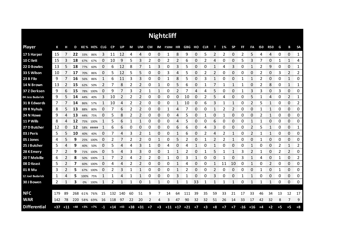|                     |     |             |       |       |             |    |       |       |       |                |             |          | <b>Nightcliff</b> |                   |                   |      |      |              |                |              |           |                |            |              |      |              |             |
|---------------------|-----|-------------|-------|-------|-------------|----|-------|-------|-------|----------------|-------------|----------|-------------------|-------------------|-------------------|------|------|--------------|----------------|--------------|-----------|----------------|------------|--------------|------|--------------|-------------|
| <b>Player</b>       | К   | н           | D     |       | KE% HE% CLG |    | CP    | UP    | M     | UM             | CM          |          | IM F50M HR        |                   | <b>GBG HO CLR</b> |      |      | т            | 1%             | <b>SP</b>    | <b>FF</b> | FA             | <b>I50</b> | <b>R50</b>   | G    | В            | <b>SA</b>   |
| 17 S Harper         | 15  | 7           | 22    | 33%   | 86%         | 3  | 11    | 12    | 4     | 4              | 0           | 0        | 1                 | 8                 | 9                 | 0    | 5    | 2            | $\overline{2}$ | 0            | 2         | 5              | 4          | 4            | 0    | 0            | 1           |
| 10 C I lett         | 15  | 3           | 18    | 67%   | 67%         | 0  | 10    | 9     | 5     | 3              | 2           | 0        | 2                 | 2                 | 6                 | 0    | 2    | 4            | 0              | 0            | 5         | 3              |            | 0            | 1    | 1            | 4           |
| 22 D Bowles         | 13  | 5           | 18    | 77%   | 60%         | 0  | 6     | 12    | 8     | 7              | 1           | 3        | 0                 | 3                 | 5                 | 0    | 0    | 1            | 4              | 3            | 0         | 1              | 2          | 9            | 0    | 0            | 1           |
| 33 S Wilson         | 10  | 7           | 17    | 70%   | 86%         | 0  | 5     | 12    | 5     | 5              | 0           | 0        | 3                 | 4                 | 5                 | 0    | 2    | 2            | 0              | 0            | 0         | 0              | 2          | 0            | 3    | 2            | 2           |
| 23 B Filo           | 9   | 7           | 16    | 56%   | 86%         | 1  | 6     | 11    | 3     | 3              | 0           | 0        | 1                 | 8                 | 5                 | 0    | 3    | $\mathbf{1}$ | 0              | 0            | 1         | 1              | 2          | 0            | 0    | $\mathbf{1}$ | 0           |
| 14 N Brown          | 13  | 2           | 15    | 62%   | 50%         | 2  | 7     | 8     | 2     | 2              | 0           | 1        | 0                 | 5                 | 6                 | 0    |      | 7            | 1              | 1            | 1         | 0              | 2          | 8            | 0    | 1            | 1           |
| 37 Z Derksen        | 9   | 6           | 15    | 78%   | 100%        | 0  | 9     |       | 3     | 2              | 1           | 1        | 0                 | 2                 |                   | 4    | 4    | 5            | 0              | 0            |           | 3              | 3          | 0            | 3    | 0            | 0           |
| 04 Jess Budarick    | 9   | 5           | 14    | 44%   | 40%         | 3  | 10    |       | 2     | 2              | 0           | 0        | 0                 | 0                 | 10                | 0    | 2    | 5            | 4              | 0            | 0         | 5              |            | 4            | 0    | 2            | 1           |
| 31 B Edwards        | 7   | 7           | 14    | 86%   | 57%         | 1  | 10    | 4     | 2     | $\overline{2}$ | 0           | 0        | 0                 | 1                 | 10                | 0    | 6    | 3            | 1              | 1            | 0         | 2              | 5          | 1            | 0    | 0            | 2           |
| 09 R Nyhuis         | 8   | 5           | 13    | 88%   | 80%         | 0  | 7     | 6     | 2     | 2              | 0           | 0        | 1                 | 4                 |                   | 0    | 0    | 1            | 2              | 2            | 0         | 0              |            | 1            | 0    | 0            | 0           |
| 24 N Howe           | 9   | 4           | 13    | 44%   | 75%         | 0  | 5     | 8     | 2     | 2              | 0           | 0        | 0                 | 4                 | 5                 | 0    |      | 0            |                | 0            | 0         | 0              | 2          | 1            | 0    | 0            | 0           |
| 11 P Wills          | 8   | 4           | 12    |       | 75% 100%    |    | 5     | 6     | 1     | 1              | 0           | 0        | 0                 | 4                 | 5                 | 0    | 0    | 6            | 0              | 0            | 0         | 1              |            | 0            | 0    | 0            | 0           |
| 27 D Butcher        | 12  | 0           | 12    |       | 58% #####   | 1  | 6     | 6     | 0     | 0              | 0           | $\Omega$ | 0                 | 6                 | 6                 | 0    | 4    | 3            | 0              | 0            | 0         | $\overline{2}$ | 5          | $\mathbf{1}$ | 0    | 0            | 1           |
| 03 J Peris          | 5   | 5           | 10    | 40%   | 40%         | 0  | 7     | 4     | 3     | 2              | $\mathbf 1$ | 0        | 0                 | 1                 | 6                 | 0    | 2    | 4            | 2              | 1            | 0         | 2              | 1          | 1            | 0    | 0            | 0           |
| 05 J Jones          | 4   | 5           | 9     |       | 25% 100%    | 0  | 2     |       | 2     | 2              | 0           | 1        | 0                 | 5                 | 2                 | 0    | 1    | 2            | 2              | 1            | 0         | 0              | 1          | 0            | 0    | 0            | 0           |
| 25 J Butcher        | 5   | 4           | 9     | 40%   | 50%         | 0  | 5     | 4     | 4     | 3              | 1           | 0        | 4                 | 0                 | 4                 | 1    | 0    | 1            | 0              | 0            | 0         | 1              | 0          | 0            | 2    | 1            | 2           |
| 28 K Emery          | 7   | 2           | 9     | 71%   | 100%        | 0  | 5     | 4     | 3     | 3              | 0           | 0        | 1                 | 1                 | 2                 | 0    | 1    | 5            | 1              | $\mathbf{1}$ | 3         | $\overline{2}$ | 1          | 0            | 2    | 2            | 0           |
| 20 T Melville       | 6   | 2           | 8     | 50%   | 100%        | -1 |       |       | 4     | 2              | 2           | 0        | 1                 | 0                 | 3                 | 1    | Ω    | 0            | 1              | 0            | З         | 1              |            | 0            | 1    | 0            | 2           |
| 08 D Keast          | 5   | 2           | 7     | 60%   | 100%        | 0  | 4     | 4     | 2     | 2              | 0           | 0        | 0                 | 1                 | 4                 | 0    | 0    | 1            | 11             | 10           | 0         | 1              | 0          | 2            | 0    | 0            | 0           |
| 01 R Mu             | 3   | 2           | 5     |       | 67% 100%    | 0  | 2     | 3     | 1     | 1              | 0           | 0        | 0                 | 1                 | 2                 | 0    | ი    | 2            | 0              | 0            | 0         | 0              | 1          | 0            | 1    | 0            | 0<br>ana ar |
| 12 Joel Budarick    | 1   | 4           | 5     | 100%  | 75%         | 1  | 1     | 4     | 1     | 1              | 0           | 0        | 0                 | 3                 |                   | 0    | 0    | 3            | 0              | 0            | 1         | 1              | 0          | 0            | 0    | 0            | 0           |
| 30 J Bowen          | 2   | 1           | 3     |       | 0% 100%     | 1  | 2     | 1     | 1     | 0              | 1           | 1        | 0                 | 1                 |                   | 33   | 1    | 1            | 1              | 1            | 0         | 1              | 1          | 1            | 0    | 0            | 0           |
|                     |     |             |       |       |             |    |       |       |       |                |             |          |                   |                   |                   |      |      |              |                |              |           |                |            |              |      |              |             |
| <b>NFC</b>          | 179 | 89          | 268   | 61%   | 76%         | 15 | 132   | 140   | 60    | 51             | 9           |          | 14                | 64                | 111               | 39   | 35   | 59           | 33             | 21           | 17        | 33             | 46         | 34           | 13   | 12           | 17          |
| <b>WAR</b>          | 142 | 78          | 220   |       | 58% 69%     | 16 | 118   | 97    | 22    | 20             | 2           | 4        | 3                 | 47                | 90                | 32   | 32   | 51           | 26             | 14           | 33        | 17             | 42         | 32           | 8    | 7            | 9           |
| <b>Differential</b> |     | $+37$ $+11$ | $+48$ | $+3%$ | $+7%$       | -1 | $+14$ | $+43$ | $+38$ | $+31$          | $+7$        | $+3$     |                   | $+11$ $+17$ $+21$ |                   | $+7$ | $+3$ | $+8$         | $+7$           | $+7$         | $-16$     | $+16$          | $+4$       | $+2$         | $+5$ | $+5$         | $+8$        |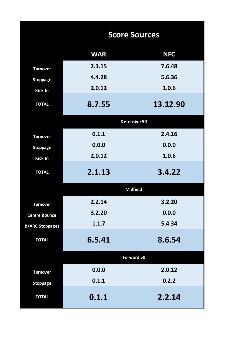|                        |            | <b>Score Sources</b> |
|------------------------|------------|----------------------|
|                        | <b>WAR</b> | <b>NFC</b>           |
| <b>Turnover</b>        | 2.3.15     | 7.6.48               |
| <b>Stoppage</b>        | 4.4.28     | 5.6.36               |
| <b>Kick In</b>         | 2.0.12     | 1.0.6                |
| <b>TOTAL</b>           | 8.7.55     | 13.12.90             |
|                        |            | Defensive 50         |
| <b>Turnover</b>        | 0.1.1      | 2.4.16               |
| <b>Stoppage</b>        | 0.0.0      | 0.0.0                |
| <b>Kick In</b>         | 2.0.12     | 1.0.6                |
| <b>TOTAL</b>           | 2.1.13     | 3.4.22               |
|                        |            | <b>Midfield</b>      |
| <b>Turnover</b>        | 2.2.14     | 3.2.20               |
| <b>Centre Bounce</b>   | 3.2.20     | 0.0.0                |
| <b>B/ARC Stoppages</b> | 1.1.7      | 5.4.34               |
| <b>TOTAL</b>           | 6.5.41     | 8.6.54               |
|                        |            | <b>Forward 50</b>    |
| <b>Turnover</b>        | 0.0.0      | 2.0.12               |
| <b>Stoppage</b>        | 0.1.1      | 0.2.2                |
| <b>TOTAL</b>           | 0.1.1      | 2.2.14               |